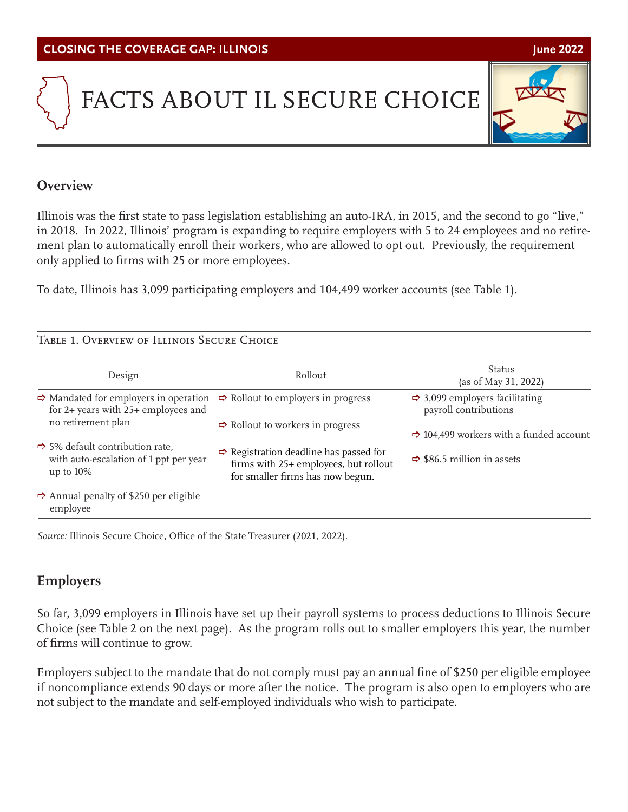# FACTS ABOUT IL SECURE CHOICE

# **Overview**

Illinois was the first state to pass legislation establishing an auto-IRA, in 2015, and the second to go "live," in 2018. In 2022, Illinois' program is expanding to require employers with 5 to 24 employees and no retirement plan to automatically enroll their workers, who are allowed to opt out. Previously, the requirement only applied to firms with 25 or more employees.

To date, Illinois has 3,099 participating employers and 104,499 worker accounts (see Table 1).

#### Table 1. Overview of Illinois Secure Choice

| Design                                                                                                | Rollout                                                                                                                         | Status<br>(as of May 31, 2022)                                      |
|-------------------------------------------------------------------------------------------------------|---------------------------------------------------------------------------------------------------------------------------------|---------------------------------------------------------------------|
| $\Rightarrow$ Mandated for employers in operation<br>for $2+$ years with $25+$ employees and          | $\Rightarrow$ Rollout to employers in progress                                                                                  | $\Rightarrow$ 3,099 employers facilitating<br>payroll contributions |
| no retirement plan                                                                                    | $\Rightarrow$ Rollout to workers in progress                                                                                    | $\Rightarrow$ 104,499 workers with a funded account                 |
| $\Rightarrow$ 5% default contribution rate,<br>with auto-escalation of 1 ppt per year<br>up to $10\%$ | $\Rightarrow$ Registration deadline has passed for<br>firms with 25+ employees, but rollout<br>for smaller firms has now begun. | $\Rightarrow$ \$86.5 million in assets                              |
| $\Rightarrow$ Annual penalty of \$250 per eligible<br>employee                                        |                                                                                                                                 |                                                                     |

*Source:* Illinois Secure Choice, Office of the State Treasurer (2021, 2022).

### **Employers**

So far, 3,099 employers in Illinois have set up their payroll systems to process deductions to Illinois Secure Choice (see Table 2 on the next page). As the program rolls out to smaller employers this year, the number of firms will continue to grow.

Employers subject to the mandate that do not comply must pay an annual fine of \$250 per eligible employee if noncompliance extends 90 days or more after the notice. The program is also open to employers who are not subject to the mandate and self-employed individuals who wish to participate.

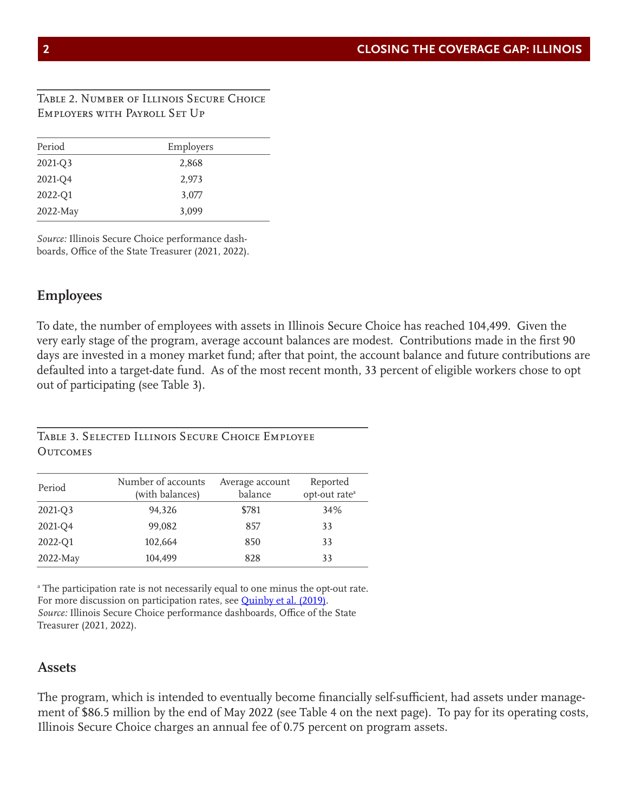#### Table 2. Number of Illinois Secure Choice Employers with Payroll Set Up

| Period   | Employers |  |
|----------|-----------|--|
| 2021-Q3  | 2,868     |  |
| 2021-Q4  | 2,973     |  |
| 2022-Q1  | 3,077     |  |
| 2022-May | 3,099     |  |

*Source:* Illinois Secure Choice performance dashboards, Office of the State Treasurer (2021, 2022).

### **Employees**

To date, the number of employees with assets in Illinois Secure Choice has reached 104,499. Given the very early stage of the program, average account balances are modest. Contributions made in the first 90 days are invested in a money market fund; after that point, the account balance and future contributions are defaulted into a target-date fund. As of the most recent month, 33 percent of eligible workers chose to opt out of participating (see Table 3).

Table 3. Selected Illinois Secure Choice Employee **OUTCOMES** 

| Period   | Number of accounts<br>(with balances) | Average account<br>balance | Reported<br>opt-out rate <sup>a</sup> |
|----------|---------------------------------------|----------------------------|---------------------------------------|
| 2021-Q3  | 94,326                                | \$781                      | 34%                                   |
| 2021-Q4  | 99,082                                | 857                        | 33                                    |
| 2022-Q1  | 102,664                               | 850                        | 33                                    |
| 2022-May | 104,499                               | 828                        | 33                                    |

a The participation rate is not necessarily equal to one minus the opt-out rate. For more discussion on participation rates, see **Quinby et al. (2019)**. *Source:* Illinois Secure Choice performance dashboards, Office of the State Treasurer (2021, 2022).

#### **Assets**

The program, which is intended to eventually become financially self-sufficient, had assets under management of \$86.5 million by the end of May 2022 (see Table 4 on the next page). To pay for its operating costs, Illinois Secure Choice charges an annual fee of 0.75 percent on program assets.